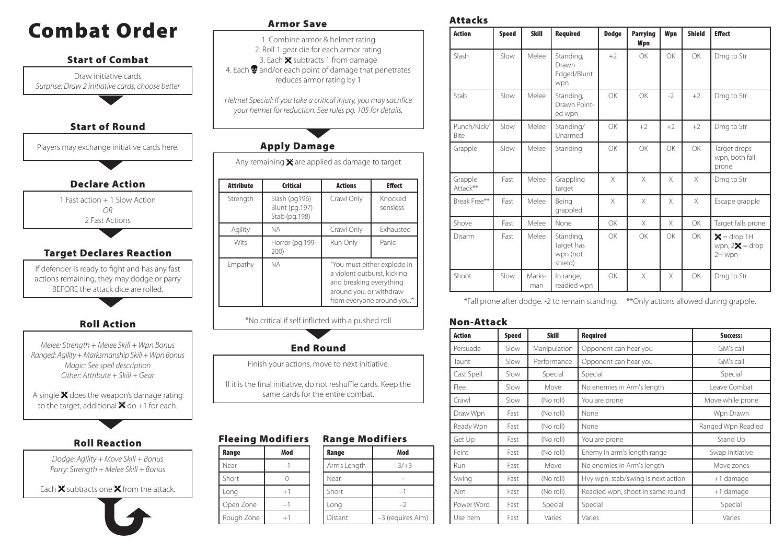# Combat Order **Armor Save**



*Dodge: Agility + Move Skill + Bonus Parry: Strength + Melee Skill + Bonus*

Each  $\mathbf x$  subtracts one  $\mathbf x$  from the attack.



1. Combine armor & helmet rating 2. Roll 1 gear die for each armor rating 3. Each  $\mathbf{\times}$  subtracts 1 from damage 4. Each  $\bullet$  and/or each point of damage that penetrates reduces armor rating by 1

*Helmet Special: If you take a critical injury, you may sacrifice your helmet for reduction. See rules pg. 105 for details.*

## Apply Damage

Any remaining  $\mathbf{\mathbf{\times}}$  are applied as damage to target

| <b>Attribute</b> | <b>Actions</b><br><b>Critical</b>                |                                                                                                                                                 | <b>Effect</b>    |
|------------------|--------------------------------------------------|-------------------------------------------------------------------------------------------------------------------------------------------------|------------------|
| Strength         | Slash (pg196)<br>Blunt (pg.197)<br>Stab (pg.198) | Crawl Only<br>Knocked<br>sensless                                                                                                               |                  |
| Agility          | <b>NA</b>                                        | Crawl Only                                                                                                                                      | <b>Fxhausted</b> |
| Wits             | Horror (pg.199-<br>200)                          | Run Only                                                                                                                                        | Panic            |
| Empathy          | <b>NA</b>                                        | "You must either explode in<br>a violent outburst, kicking<br>and breaking everything<br>around you, or withdraw<br>from everyone around you."" |                  |

\*No critical if self inflicted with a pushed roll



Finish your actions, move to next initiative.

If it is the final initiative, do not reshuffle cards. Keep the same cards for the entire combat.

#### Range Modifiers Fleeing Modifiers

| Range      | Mod  |  | Range        | Mod               |
|------------|------|--|--------------|-------------------|
| Near       | -1   |  | Arm's Length | $-3/+3$           |
| Short      |      |  | Near         |                   |
| Long       | $+1$ |  | Short        | $-$               |
| Open Zone  |      |  | Long         | $-2$              |
| Rough Zone | $+1$ |  | Distant      | -3 (requires Aim) |

Attacks

| <b>Action</b>       | <b>Speed</b> | <b>Skill</b>  | <b>Required</b>                                | <b>Dodge</b> | <b>Parrying</b><br>Wpn | Wpn      | <b>Shield</b> | <b>Effect</b>                               |
|---------------------|--------------|---------------|------------------------------------------------|--------------|------------------------|----------|---------------|---------------------------------------------|
| Slash               | Slow         | Melee         | Standing,<br>Drawn<br>Edged/Blunt<br>wpn       | $+2$         | OK                     | OK       | <b>OK</b>     | Dmg to Str                                  |
| Stab                | Slow         | Melee         | Standing,<br>Drawn Point-<br>ed wpn            | OK           | <b>OK</b>              | $-2$     | $+2$          | Dmg to Str                                  |
| Punch/Kick/<br>Bite | Slow         | Melee         | Standing/<br>Unarmed                           | OK           | $+2$                   | $+2$     | $+2$          | Dmg to Str                                  |
| Grapple             | Slow         | Melee         | Standing                                       | OK           | OK                     | OK       | <b>OK</b>     | Target drops<br>wpn, both fall<br>prone     |
| Grapple<br>Attack** | Fast         | Melee         | Grappling<br>target                            | X            | $\times$               | X        | X             | Dmg to Str                                  |
| Break Free**        | Fast         | Melee         | Being<br>grappled                              | X            | X                      | X        | $\times$      | Escape grapple                              |
| Shove               | Fast         | Melee         | None                                           | OK           | $\times$               | X        | OK            | Target falls prone                          |
| Disarm              | Fast         | Melee         | Standing,<br>target has<br>wpn (not<br>shield) | OK           | OK                     | OK       | <b>OK</b>     | $X =$ drop 1H<br>wpn, $2X =$ drop<br>2H wpn |
| Shoot               | Slow         | Marks-<br>man | In range,<br>readied wpn                       | OK           | X                      | $\times$ | OK            | Dmg to Str                                  |

\*Fall prone after dodge. -2 to remain standing. \*\*Only actions allowed during grapple.

#### Non-Attack

| <b>Action</b> | <b>Speed</b> | <b>Skill</b> | <b>Required</b>                    | Success:           |
|---------------|--------------|--------------|------------------------------------|--------------------|
| Persuade      | Slow         | Manipulation | Opponent can hear you              | GM's call          |
| Taunt         | Slow         | Performance  | Opponent can hear you              | GM's call          |
| Cast Spell    | Slow         | Special      | Special                            | Special            |
| Flee          | Slow         | Move         | No enemies in Arm's length         | Leave Combat       |
| Crawl         | Slow         | (No roll)    | You are prone                      | Move while prone   |
| Draw Wpn      | Fast         | (No roll)    | None                               | Wpn Drawn          |
| Ready Wpn     | Fast         | (No roll)    | None                               | Ranged Wpn Readied |
| Get Up        | Fast         | (No roll)    | You are prone                      | Stand Up           |
| Feint         | Fast         | (No roll)    | Enemy in arm's length range        | Swap initiative    |
| <b>Run</b>    | Fast         | Move         | No enemies in Arm's length         | Move zones         |
| Swing         | Fast         | (No roll)    | Hvy wpn, stab/swing is next action | +1 damage          |
| Aim           | Fast         | (No roll)    | Readied wpn, shoot in same round   | +1 damage          |
| Power Word    | Fast         | Special      | Special                            | Special            |
| Use Item      | Fast         | Varies       | Varies                             | Varies             |